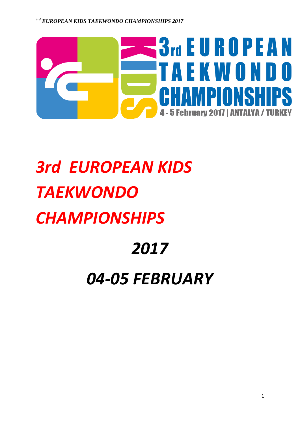

# *3rd EUROPEAN KIDS TAEKWONDO CHAMPIONSHIPS*

## *2017*

## *04-05 FEBRUARY*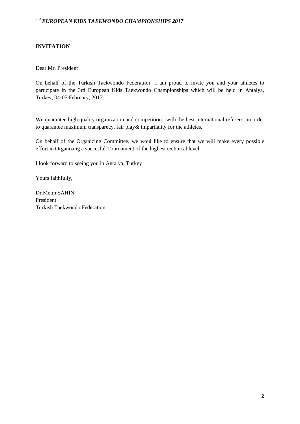#### **INVITATION**

Dear Mr. President

On behalf of the Turkish Taekwondo Federation I am proud to invite you and your athletes to participate in the 3rd European Kids Taekwondo Championships which will be held in Antalya, Turkey, 04-05 February, 2017.

We quarantee high quality organization and competition –with the best international referees in order to quarantee maximum transparecy, fair play& impartiality for the athletes.

On behalf of the Organizing Committee, we woul like to ensure that we will make every possible effort in Organizing a succesful Tournament of the highest technical level.

I look forward to seeing you in Antalya, Turkey

Yours faithfully,

Dr.Metin ŞAHİN President Turkish Taekwondo Federation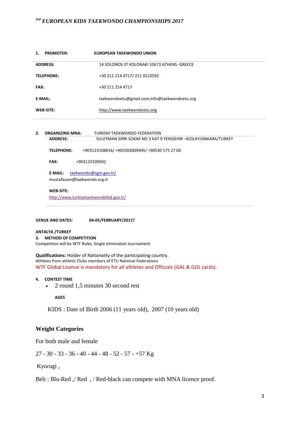| <b>PROMOTER:</b><br>1. | EUROPEAN TAEKWONDO UNION                     |
|------------------------|----------------------------------------------|
| <b>ADDRESS:</b>        | 14 SOLONOS ST KOLONAKI 10673 ATHENS -GREECE  |
| <b>TELEPHONE:</b>      | +30 211 214 4717/ 211 0123592                |
| <b>FAX:</b>            | +30 211 214 4717                             |
| E-MAIL:                | taekwondoetu@gmail.com;info@taekwondoetu.org |
| <b>WEB-SITE:</b>       | http://www.taekwondoetu.org                  |

| 2. | <b>ORGANIZING MNA:</b>                 | TURKISH TAEKWONDO FEDERATION                                      |
|----|----------------------------------------|-------------------------------------------------------------------|
|    | <b>ADDRESS:</b>                        | SULEYMAN SIRRI SOKAK NO 3 KAT 9 YENISEHIR - KIZILAY/ANKARA/TURKEY |
|    | <b>TELEPHONE:</b>                      | +903123108816/ +905303009945/ +90530 575 27 00                    |
|    | <b>FAX:</b>                            | +903123109042                                                     |
|    | E-MAIL:<br>mustafacam@taekwondo.org.tr | taekwondo@sgm.gov.tr/                                             |
|    | WEB-SITE:                              |                                                                   |
|    |                                        | http://www.turkiyetaekwondofed.gov.tr/                            |

**VENUE AND DATES: 04-05/FEBRUARY/2017/**

**ANTALYA /TURKEY 3. METHOD OF COMPETITION** Competition will be WTF Rules. Single elimination tournament

**Qualifications:** Holder of Nationality of the participating country. Athletes from athletic Clubs members of ETU National Federations WTF Global License is mandatory for all athletes and Officials (GAL & GOL cards).

#### **4. CONTEST TIME**

• 2 round 1,5 minutes 30 second rest

**AGES**

KIDS : Date of Birth 2006 (11 years old), 2007 (10 years old)

## **Weight Categories**

For both male and female

27 - 30 - 33 - 36 - 40 - 44 - 48 - 52 - 57 - +57 Kg

Kyorugi ,

Belt : Blu-Red ,/ Red , / Red-black can compete with MNA licence proof.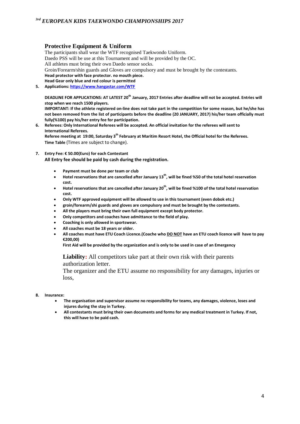#### **Protective Equipment & Uniform**

The participants shall wear the WTF recognised Taekwondo Uniform. Daedo PSS will be use at this Tournament and will be provided by the OC. All athletes must bring their own Daedo sensor socks. Groin/Forearm/shin guards and Gloves are compulsory and must be brought by the contestants. **Head protector with face protector. no mouth piece. Head Gear only blue and red colour is permitted 5. Applications[: https://www.hangastar.com/WTF](https://www.hangastar.com/WTF)**

**DEADLINE FOR APPLICATIONS: AT LATEST 20th January, 2017 Entries after deadline will not be accepted. Entries will stop when we reach 1500 players.**

**IMPORTANT: If the athlete registered on-line does not take part in the competition for some reason, but he/she has not been removed from the list of participants before the deadline (20 JANUARY, 2017) his/her team officially must fully(%100) pay his/her entry fee for participation.**

- **6. Referees: Only International Referees will be accepted. An official invitation for the referees will sent to International Referees. Referee meeting at 19:00, Saturday 3th February at Maritim Resort Hotel, the Official hotel for the Referees. Time Table** (Times are subject to change).
- **7. Entry Fee: € 50.00(Euro) for each Contestant All Entry fee should be paid by cash during the registration.** 
	- **Payment must be done per team or club**
	- **Hotel reservations that are cancelled after January 13th, will be fined %50 of the total hotel reservation cost.**
	- **Hotel reservations that are cancelled after January 20th, will be fined %100 of the total hotel reservation cost.**
	- **Only WTF approved equipment will be allowed to use in this tournament (even dobok etc.)**
	- **groin/forearm/shi guards and gloves are compulsory and must be brought by the contestants.**
	- **All the players must bring their own full equipment except body protector.**
	- **Only competitors and coaches have admittance to the field of play.**
	- **Coaching is only allowed in sportswear.**
	- **All coaches must be 18 years or older.**
	- **All coaches must have ETU Coach Licence.(Coache who DO NOT have an ETU coach licence will have to pay €200,00)**

**First Aid will be provided by the organization and is only to be used in case of an Emergency**

**Liability:** All competitors take part at their own risk with their parents authorization letter.

The organizer and the ETU assume no responsibility for any damages, injuries or loss,

- **8. Insurance:**
	- **The organisation and supervisor assume no responsibility for teams, any damages, violence, loses and injures during the stay in Turkey.**
	- **All contestants must bring their own documents and forms for any medical treatment in Turkey. If not, this will have to be paid cash.**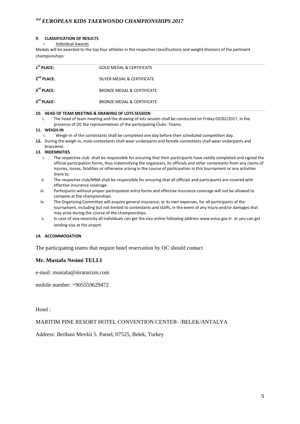#### **9. CLASSIFICATION OF RESULTS**

i. Individual Awards

Medals will be awarded to the top four athletes in the respective classifications and weight divisions of the pertinent championships:

| $1st$ PLACE:           | <b>GOLD MEDAL &amp; CERTIFICATE</b>   |
|------------------------|---------------------------------------|
| $2^{nd}$ PLACE:        | SILVER MEDAL & CERTIFICATE            |
| 3 <sup>rd</sup> PLACE: | <b>BRONZE MEDAL &amp; CERTIFICATE</b> |
| 3 <sup>rd</sup> PLACE: | <b>BRONZE MEDAL &amp; CERTIFICATE</b> |

#### **10. HEAD OF TEAM MEETING & DRAWING OF LOTS SESSION**

i. The head of team meeting and the drawing of lots session shall be conducted on Friday 03/02/2017, in the presence of OC the representatives of the participating Clubs- Teams.

#### **11. WEIGH-IN**

- Weigh-in of the contestants shall be completed one day before their scheduled competition day.
- **12.** During the weigh-in, male contestants shall wear underpants and female contestants shall wear underpants and brassieres.

#### **13. INDEMNITIES**

- i. The respective club shall be responsible for ensuring that their participants have validly completed and signed the official participation forms, thus indemnifying the organizers, its officials and other contestants from any claims of injuries, losses, fatalities or otherwise arising in the course of participation in this tournament or any activities there to.
- ii. The respective club/MNA shall be responsible for ensuring that all officials and participants are covered with effective insurance coverage.
- iii. Participants without proper participation entry forms and effective insurance coverage will not be allowed to compete at the championships.
- iv. The Organizing Committee will acquire general insurance, at its own expenses, for all participants of the tournament, including but not limited to contestants and staffs, in the event of any injury and/or damages that may arise during the course of the championships.
- v. In case of visa necessity all individuals can get the visa online following address [www.evisa.gov.tr](http://www.evisa.gov.tr/) or you can get landing visa at the airport.

#### **14. ACCOMMODATION**

The participating teams that require hotel reservation by OC should contact

#### **Mr. Mustafa Nesimi TELLI**

e-mail: mustafa@niraturizm.com

mobile number: +905559629472

Hotel :

#### MARITIM PINE RESORT HOTEL CONVENTION CENTER- /BELEK/ANTALYA

Address: Ileribasi Mevkii 5. Parsel, 07525, Belek, Turkey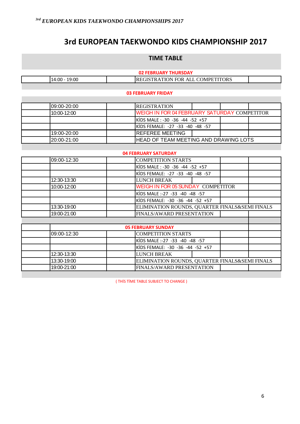## **3rd EUROPEAN TAEKWONDO KIDS CHAMPIONSHIP 2017**

## **TIME TABLE**

| <b>02 FEBRUARY THURSDAY</b> |                                          |  |  |  |  |
|-----------------------------|------------------------------------------|--|--|--|--|
| 19:00<br>14:00 -            | <b>IREGISTRATION FOR ALL COMPETITORS</b> |  |  |  |  |

#### **03 FEBRUARY FRIDAY**

| 09:00-20:00 | <b>IREGISTRATION</b>                                 |  |  |  |  |
|-------------|------------------------------------------------------|--|--|--|--|
| 10:00-12:00 | <b>IWEIGH IN FOR 04 FEBRUARY SATURDAY COMPETITOR</b> |  |  |  |  |
|             | IKIDS MALE : -30 -36 -44 -52 +57                     |  |  |  |  |
|             | IKIDS FEMALE: -27 -33 -40 -48 -57                    |  |  |  |  |
| 19:00-20:00 | <b>IREFEREE MEETING</b>                              |  |  |  |  |
| 20:00-21:00 | <b>IHEAD OF TEAM MEETING AND DRAWING LOTS</b>        |  |  |  |  |

#### **04 FEBRUARY SATURDAY**

| 09:00-12:30 | <b>COMPETITION STARTS</b>                      |
|-------------|------------------------------------------------|
|             | KİDS MALE: -30 -36 -44 -52 +57                 |
|             | KIDS FEMALE: -27 -33 -40 -48 -57               |
| 12:30-13:30 | <b>LUNCH BREAK</b>                             |
| 10:00-12:00 | WEIGH IN FOR 05 SUNDAY COMPETITOR              |
|             | KIDS MALE :-27 -33 -40 -48 -57                 |
|             | KIDS FEMALE: -30 -36 -44 -52 +57               |
| 13:30-19:00 | ELIMINATION ROUNDS, QUARTER FINALS&SEMI FINALS |
| 19:00-21:00 | FINALS/AWARD PRESENTATION                      |
|             |                                                |
|             | <b>05 FEBRUARY SUNDAY</b>                      |
| 09:00-12:30 | <b>COMPETITION STARTS</b>                      |

| $109:00 - 12:30$ | <b>COMPETITION STARTS</b>        |                                                |  |  |  |
|------------------|----------------------------------|------------------------------------------------|--|--|--|
|                  | KIDS MALE :-27 -33 -40 -48 -57   |                                                |  |  |  |
|                  | KIDS FEMALE: -30 -36 -44 -52 +57 |                                                |  |  |  |
| 12:30-13:30      | <b>LUNCH BREAK</b>               |                                                |  |  |  |
| 13:30-19:00      |                                  | ELIMINATION ROUNDS, QUARTER FINALS&SEMI FINALS |  |  |  |
| 19:00-21:00      | <b>FINALS/AWARD PRESENTATION</b> |                                                |  |  |  |

( THİS TİME TABLE SUBJECT TO CHANGE )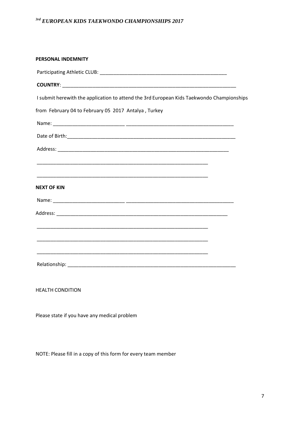| PERSONAL INDEMNITY                                                                        |  |
|-------------------------------------------------------------------------------------------|--|
|                                                                                           |  |
|                                                                                           |  |
| I submit herewith the application to attend the 3rd European Kids Taekwondo Championships |  |
| from February 04 to February 05 2017 Antalya, Turkey                                      |  |
|                                                                                           |  |
|                                                                                           |  |
|                                                                                           |  |
|                                                                                           |  |
|                                                                                           |  |
| <b>NEXT OF KIN</b>                                                                        |  |
|                                                                                           |  |
|                                                                                           |  |
|                                                                                           |  |
|                                                                                           |  |
|                                                                                           |  |
|                                                                                           |  |
|                                                                                           |  |

HEALTH CONDITION

Please state if you have any medical problem

NOTE: Please fill in a copy of this form for every team member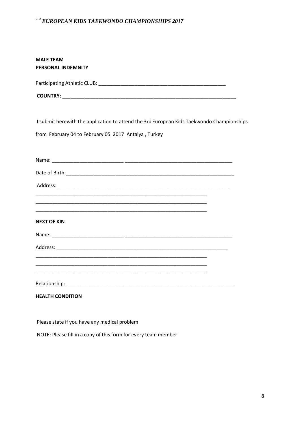| <b>MALE TEAM</b>             |
|------------------------------|
| <b>PERSONAL INDEMNITY</b>    |
|                              |
| Participating Athletic CLUB: |

| <b>COUNTRY:</b> |  |  |  |  |
|-----------------|--|--|--|--|
|                 |  |  |  |  |

I submit herewith the application to attend the 3rd European Kids Taekwondo Championships

from February 04 to February 05 2017 Antalya , Turkey

| <b>NEXT OF KIN</b>                                                                                                                                                                                                                            |  |
|-----------------------------------------------------------------------------------------------------------------------------------------------------------------------------------------------------------------------------------------------|--|
|                                                                                                                                                                                                                                               |  |
|                                                                                                                                                                                                                                               |  |
| <u> 1989 - Johann John Harry Barn, mars and deutscher Schwarzer und der Schwarzer und der Schwarzer und der Schwa</u><br><u> 1980 - Jan James James James James James James James James James James James James James James James James J</u> |  |
| <u> 1989 - Johann John Harry Harry Harry Harry Harry Harry Harry Harry Harry Harry Harry Harry Harry Harry Harry</u>                                                                                                                          |  |
|                                                                                                                                                                                                                                               |  |
| <b>HEALTH CONDITION</b>                                                                                                                                                                                                                       |  |

Please state if you have any medical problem

NOTE: Please fill in a copy of this form for every team member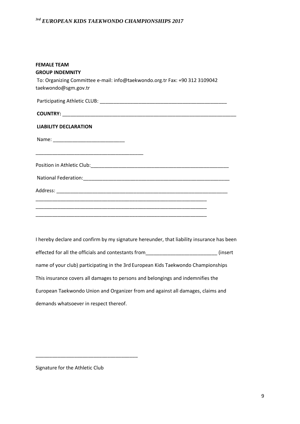| <b>FEMALE TEAM</b><br><b>GROUP INDEMNITY</b><br>To: Organizing Committee e-mail: info@taekwondo.org.tr Fax: +90 312 3109042<br>taekwondo@sgm.gov.tr |  |
|-----------------------------------------------------------------------------------------------------------------------------------------------------|--|
|                                                                                                                                                     |  |
|                                                                                                                                                     |  |
| <b>LIABILITY DECLARATION</b>                                                                                                                        |  |
|                                                                                                                                                     |  |
|                                                                                                                                                     |  |
|                                                                                                                                                     |  |
|                                                                                                                                                     |  |
|                                                                                                                                                     |  |
| <u> 1989 - Jan James James James James James James James James James James James James James James James James J</u>                                |  |
| <u> 1989 - Jan James James Jan James James James James James James James James James James James James James Ja</u>                                 |  |
|                                                                                                                                                     |  |

I hereby declare and confirm by my signature hereunder, that liability insurance has been effected for all the officials and contestants from\_\_\_\_\_\_\_\_\_\_\_\_\_\_\_\_\_\_\_\_\_\_\_\_\_\_\_\_\_(insert name of your club) participating in the 3rd European Kids Taekwondo Championships This insurance covers all damages to persons and belongings and indemnifies the European Taekwondo Union and Organizer from and against all damages, claims and demands whatsoever in respect thereof.

Signature for the Athletic Club

\_\_\_\_\_\_\_\_\_\_\_\_\_\_\_\_\_\_\_\_\_\_\_\_\_\_\_\_\_\_\_\_\_\_\_\_\_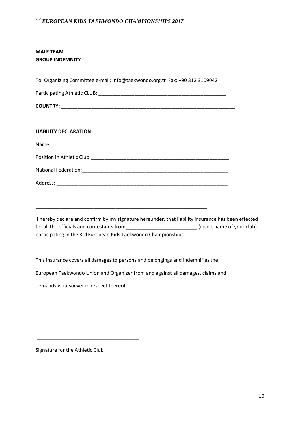### **MALE TEAM GROUP INDEMNITY**

To: Organizing Committee e-mail: info@taekwondo.org.tr Fax: +90 312 3109042 Participating Athletic CLUB: \_\_\_\_\_\_\_\_\_\_\_\_\_\_\_\_\_\_\_\_\_\_\_\_\_\_\_\_\_\_\_\_\_\_\_\_\_\_\_\_\_\_\_\_\_\_ **COUNTRY:** \_\_\_\_\_\_\_\_\_\_\_\_\_\_\_\_\_\_\_\_\_\_\_\_\_\_\_\_\_\_\_\_\_\_\_\_\_\_\_\_\_\_\_\_\_\_\_\_\_\_\_\_\_\_\_\_\_\_\_\_\_\_\_ **LIABILITY DECLARATION**  Name: \_\_\_\_\_\_\_\_\_\_\_\_\_\_\_\_\_\_\_\_\_\_\_\_\_\_ \_\_\_\_\_\_\_\_\_\_\_\_\_\_\_\_\_\_\_\_\_\_\_\_\_\_\_\_\_\_\_\_\_\_\_\_\_\_\_ Position in Athletic Club: **Example 2018** National Federation: which is a set of the set of the set of the set of the set of the set of the set of the set of the set of the set of the set of the set of the set of the set of the set of the set of the set of the set Address: \_\_\_\_\_\_\_\_\_\_\_\_\_\_\_\_\_\_\_\_\_\_\_\_\_\_\_\_\_\_\_\_\_\_\_\_\_\_\_\_\_\_\_\_\_\_\_\_\_\_\_\_\_\_\_\_\_\_\_\_\_\_ \_\_\_\_\_\_\_\_\_\_\_\_\_\_\_\_\_\_\_\_\_\_\_\_\_\_\_\_\_\_\_\_\_\_\_\_\_\_\_\_\_\_\_\_\_\_\_\_\_\_\_\_\_\_\_\_\_\_\_\_\_\_ \_\_\_\_\_\_\_\_\_\_\_\_\_\_\_\_\_\_\_\_\_\_\_\_\_\_\_\_\_\_\_\_\_\_\_\_\_\_\_\_\_\_\_\_\_\_\_\_\_\_\_\_\_\_\_\_\_\_\_\_\_\_ \_\_\_\_\_\_\_\_\_\_\_\_\_\_\_\_\_\_\_\_\_\_\_\_\_\_\_\_\_\_\_\_\_\_\_\_\_\_\_\_\_\_\_\_\_\_\_\_\_\_\_\_\_\_\_\_\_\_\_\_\_\_

I hereby declare and confirm by my signature hereunder, that liability insurance has been effected for all the officials and contestants from \_\_\_\_\_\_\_\_\_\_\_\_\_\_\_\_\_\_\_\_\_\_\_\_\_\_\_\_\_\_\_\_(insert name of your club) participating in the 3rd European Kids Taekwondo Championships

This insurance covers all damages to persons and belongings and indemnifies the

European Taekwondo Union and Organizer from and against all damages, claims and

demands whatsoever in respect thereof.

\_\_\_\_\_\_\_\_\_\_\_\_\_\_\_\_\_\_\_\_\_\_\_\_\_\_\_\_\_\_\_\_\_\_\_\_\_

Signature for the Athletic Club